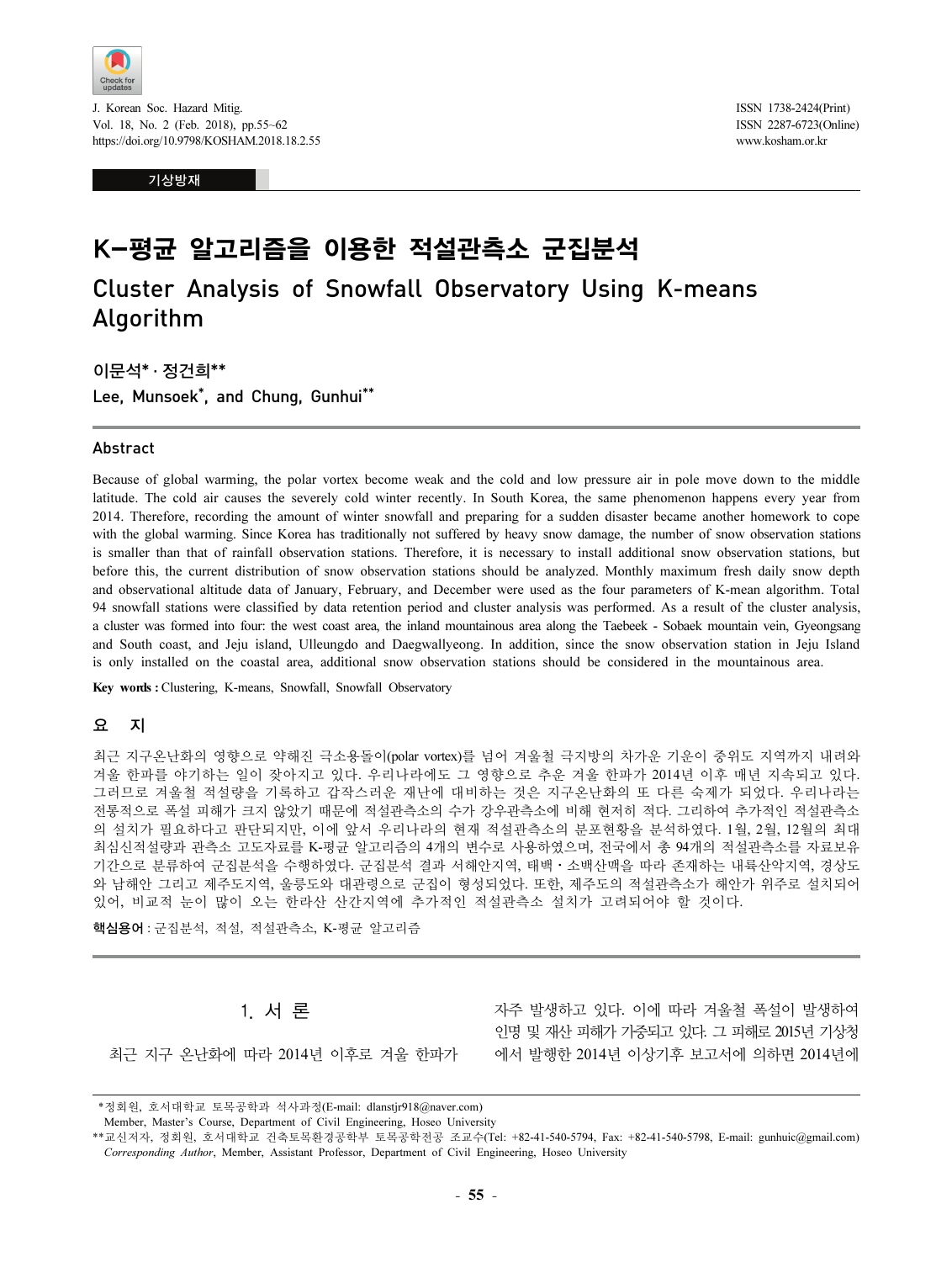

J. Korean Soc. Hazard Mitig. Vol. 18, No. 2 (Feb. 2018), pp.55~62 https://doi.org/10.9798/KOSHAM.2018.18.2.55

기상방재

ISSN 1738-2424(Print) ISSN 2287-6723(Online) www.kosham.or.kr

# K-평균 알고리즘을 이용한 적설관측소 군집분석

Cluster Analysis of Snowfall Observatory Using K-means . A<sub>g</sub>manni

이문석\* · 정건희\*\* Lee, Munsoek\*, and Chung, Gunhui\*\*

#### Abstract

Because of global warming, the polar vortex become weak and the cold and low pressure air in pole move down to the middle latitude. The cold air causes the severely cold winter recently. In South Korea, the same phenomenon happens every year from 2014. Therefore, recording the amount of winter snowfall and preparing for a sudden disaster became another homework to cope with the global warming. Since Korea has traditionally not suffered by heavy snow damage, the number of snow observation stations is smaller than that of rainfall observation stations. Therefore, it is necessary to install additional snow observation stations, but before this, the current distribution of snow observation stations should be analyzed. Monthly maximum fresh daily snow depth and observational altitude data of January, February, and December were used as the four parameters of K-mean algorithm. Total 94 snowfall stations were classified by data retention period and cluster analysis was performed. As a result of the cluster analysis, a cluster was formed into four: the west coast area, the inland mountainous area along the Taebeek - Sobaek mountain vein, Gyeongsang and South coast, and Jeju island, Ulleungdo and Daegwallyeong. In addition, since the snow observation station in Jeju Island is only installed on the coastal area, additional snow observation stations should be considered in the mountainous area.

Key words : Clustering, K-means, Snowfall, Snowfall Observatory

### 요 지

최근 지구온난화의 영향으로 약해진 극소용돌이(polar vortex)를 넘어 겨울철 극지방의 차가운 기운이 중위도 지역까지 내려와 겨울 한파를 야기하는 일이 잦아지고 있다. 우리나라에도 그 영향으로 추운 겨울 한파가 2014년 이후 매년 지속되고 있다. 그러므로 겨울철 적설량을 기록하고 갑작스러운 재난에 대비하는 것은 지구온난화의 또 다른 숙제가 되었다. 우리나라는 전통적으로 폭설 피해가 크지 않았기 때문에 적설관측소의 수가 강우관측소에 비해 현저히 적다. 그리하여 추가적인 적설관측소 의 설치가 필요하다고 판단되지만, 이에 앞서 우리나라의 현재 적설관측소의 분포현황을 분석하였다. 1월, 2월, 12월의 최대 - 「 글…~」 글…-」 그 - 단근… [ 단, │ ⊪ 표 | │ - │ - │ - │ - □ │ - □ │ - | 로드 → 그 │ 도도 단 。 글 난 │ │ 从 / Ⅰ · 그 , 그 그, 그<br>최심신적설량과 관측소 고도자료를 K-평균 알고리즘의 4개의 변수로 사용하였으며, 전국에서 총 94개의 적설관측소를 자료보유<br>기간으로 분류하여 군집분석을 수행하였다. 군집분석 결과 서해안지역, 태백 와 남해안 그리고 제주도지역, 울릉도와 대관령으로 군집이 형성되었다. 또한, 제주도의 적설관측소가 해안가 위주로 설치되어 있어, 비교적 눈이 많이 오는 한라산 산간지역에 추가적인 적설관측소 설치가 고려되어야 할 것이다.

핵심용어 : 군집분석, 적설, 적설관측소, K-평균 알고리즘

### 1. 서 론

최근 지구 온난화에 따라 2014년 이후로 겨울 한파가

자주 발생하고 있다. 이에 따라 겨울철 폭설이 발생하여 인명 및 재산 피해가 가중되고 있다. 그 피해로 2015년 기상청 에서 발행한 2014년 이상기후 보고서에 의하면 2014년에

 <sup>\*</sup>정회원, 호서대학교 토목공학과 석사과정(E-mail: dlanstjr918@naver.com)

Member, Master's Course, Department of Civil Engineering, Hoseo University

<sup>\*\*</sup>교신저자, 정회원, 호서대학교 건축토목환경공학부 토목공학전공 조교수(Tel: +82-41-540-5794, Fax: +82-41-540-5798, E-mail: gunhuic@gmail.com) Corresponding Author, Member, Assistant Professor, Department of Civil Engineering, Hoseo University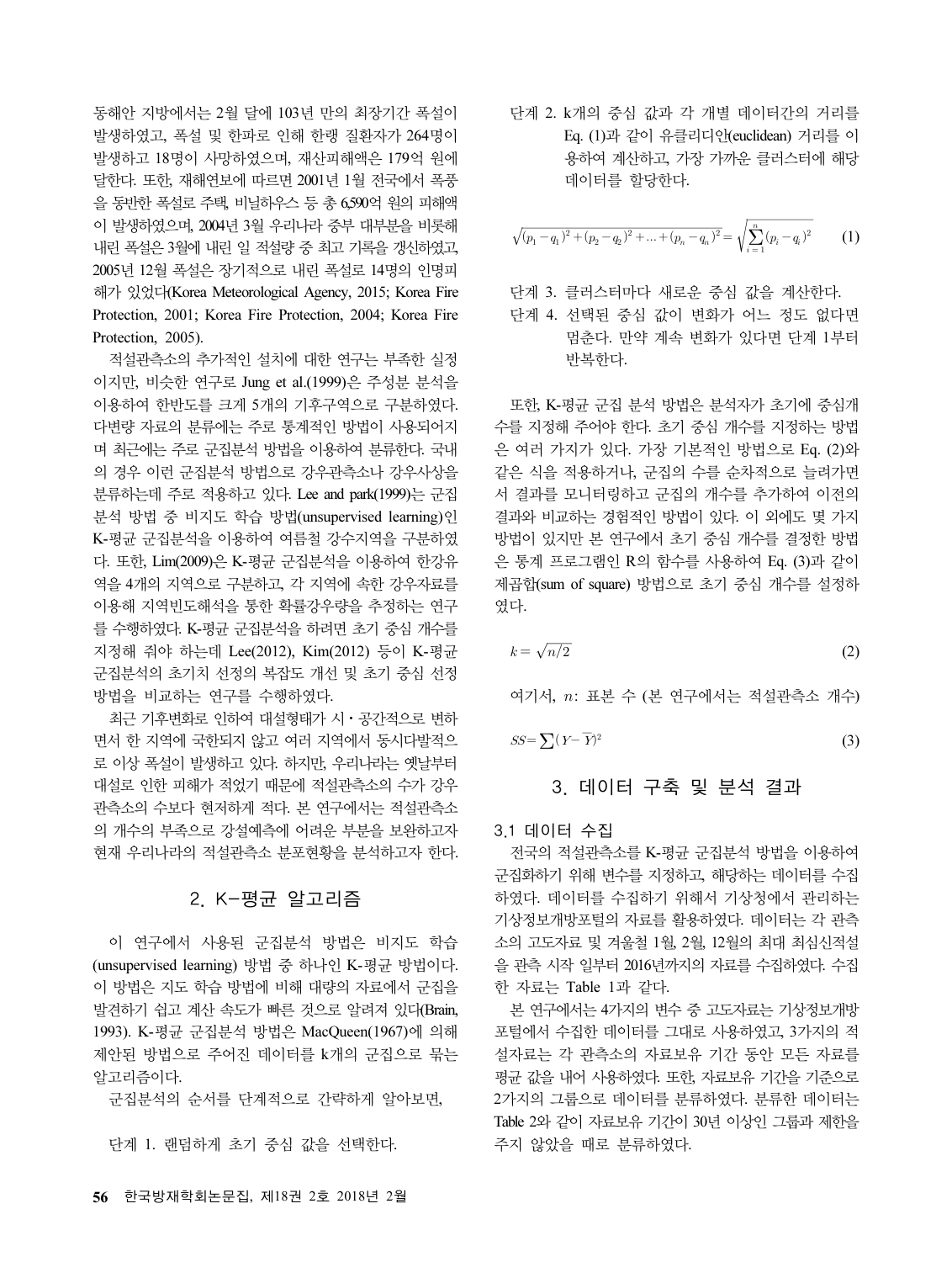동해안 지방에서는 2월 달에 103년 만의 최장기간 폭설이 발생하였고, 폭설 및 한파로 인해 한랭 질환자가 264명이 발생하고 18명이 사망하였으며, 재산피해액은 179억 원에 달한다. 또한, 재해연보에 따르면 2001년 1월 전국에서 폭풍 을 동반한 폭설로 주택, 비닐하우스 등 총 6,590억 원의 피해액 이 발생하였으며, 2004년 3월 우리나라 중부 대부분을 비롯해 내린 폭설은 3월에 내린 일 적설량 중 최고 기록을 갱신하였고, 2005년 12월 폭설은 장기적으로 내린 폭설로 14명의 인명피 해가 있었다(Korea Meteorological Agency, 2015; Korea Fire Protection, 2001; Korea Fire Protection, 2004; Korea Fire Protection, 2005).

적설관측소의 추가적인 설치에 대한 연구는 부족한 실정 이지만, 비슷한 연구로 Jung et al.(1999)은 주성분 분석을 이용하여 한반도를 크게 5개의 기후구역으로 구분하였다. 다변량 자료의 분류에는 주로 통계적인 방법이 사용되어지 며 최근에는 주로 군집분석 방법을 이용하여 분류한다. 국내 의 경우 이런 군집분석 방법으로 강우관측소나 강우사상을 분류하는데 주로 적용하고 있다. Lee and park(1999)는 군집 분석 방법 중 비지도 학습 방법(unsupervised learning)인 K-평균 군집분석을 이용하여 여름철 강수지역을 구분하였 다. 또한, Lim(2009)은 K-평균 군집분석을 이용하여 한강유 역을 4개의 지역으로 구분하고, 각 지역에 속한 강우자료를 이용해 지역빈도해석을 통한 확률강우량을 추정하는 연구 를 수행하였다. K-평균 군집분석을 하려면 초기 중심 개수를 지정해 줘야 하는데 Lee(2012), Kim(2012) 등이 K-평균 군집분석의 초기치 선정의 복잡도 개선 및 초기 중심 선정 방법을 비교하는 연구를 수행하였다.

최근 기후변화로 인하여 대설형태가 시⋅공간적으로 변하 면서 한 지역에 국한되지 않고 여러 지역에서 동시다발적으 로 이상 폭설이 발생하고 있다. 하지만, 우리나라는 옛날부터 대설로 인한 피해가 적었기 때문에 적설관측소의 수가 강우 관측소의 수보다 현저하게 적다. 본 연구에서는 적설관측소 의 개수의 부족으로 강설예측에 어려운 부분을 보완하고자 현재 우리나라의 적설관측소 분포현황을 분석하고자 한다.

## 2. K-평균 알고리즘

이 연구에서 사용된 군집분석 방법은 비지도 학습 (unsupervised learning) 방법 중 하나인 K-평균 방법이다. 이 방법은 지도 학습 방법에 비해 대량의 자료에서 군집을 발견하기 쉽고 계산 속도가 빠른 것으로 알려져 있다(Brain, 1993). K-평균 군집분석 방법은 MacQueen(1967)에 의해 제안된 방법으로 주어진 데이터를 k개의 군집으로 묶는 알고리즘이다.

군집분석의 순서를 단계적으로 간략하게 알아보면,

단계 1. 랜덤하게 초기 중심 값을 선택한다.

단계 2. k개의 중심 값과 각 개별 데이터간의 거리를 Eq. (1)과 같이 유클리디안(euclidean) 거리를 이 용하여 계산하고, 가장 가까운 클러스터에 해당 데이터를 할당한다. 단계 2. k개의 중심 값과 각 개<br>- Eq. (1)과 같이 유클리디인<br>- 용하여 계산하고, 가장 가<br>- 데이터를 할당한다.<br>- 시(<sub>P</sub>, - q,)<sup>2</sup> + (p<sub>o</sub> - q,)<sup>2</sup> + ... + (p<sub>o</sub> - q,)<sup>2</sup> 별 데이터간의 $\frac{2!}{\text{equclidean}}$ 거 $\frac{1}{\text{equation}}$ 

$$
\sqrt{(p_1 - q_1)^2 + (p_2 - q_2)^2 + \dots + (p_n - q_n)^2} = \sqrt{\sum_{i=1}^n (p_i - q_i)^2}
$$
 (1)

단계 3. 클러스터마다 새로운 중심 값을 계산한다.

단계 4. 선택된 중심 값이 변화가 어느 정도 없다면 멈춘다. 만약 계속 변화가 있다면 단계 1부터 반복한다.

또한, K-평균 군집 분석 방법은 분석자가 초기에 중심개 수를 지정해 주어야 한다. 초기 중심 개수를 지정하는 방법 은 여러 가지가 있다. 가장 기본적인 방법으로 Eq. (2)와 같은 식을 적용하거나, 군집의 수를 순차적으로 늘려가면 서 결과를 모니터링하고 군집의 개수를 추가하여 이전의 결과와 비교하는 경험적인 방법이 있다. 이 외에도 몇 가지 방법이 있지만 본 연구에서 초기 중심 개수를 결정한 방법 은 통계 프로그램인 R의 함수를 사용하여 Eq. (3)과 같이 제곱합(sum of square) 방법으로 초기 중심 개수를 설정하 였다. 단계 2. k E 동료 2 k E 동료 2 k E 동료 2 k E 동료 2 k E 동료 2 k E 동료 2 k E 동료 2 k E 동료 2 k E 동료 2 k E 동료 2 k E 동료 2 k E 동료 2 k E 동료 2 k E 동료 2 k E 동료 2 k E 동료 2 k E 동료 2 k E 동료 2 k E 동료 2 k E 동료 4 k E k E k E k =  $\sqrt{n/2}$  k =  $\sqrt{n/$ - 여러 가지가<br>은 식을 적용<br>결과를 모니<sup>1</sup><br>결과를 모니<sup>1</sup><br>함에 있지만 본<br>통계 프로그<sup>1</sup><br>품회(sum of se<br>다.<br>-  $k = \sqrt{n/2}$ <br>여기서,  $n:$  표<br>SS= $\sum (Y - \overline{Y})$ 

$$
k = \sqrt{n/2} \tag{2}
$$

여기서,  $n$ : 표본 수 (본 연구에서는 적설관측소 개수)

 $\sim$  (3)

## 3. 데이터 구축 및 분석 결과

3.1 데이터 수집

전국의 적설관측소를 K-평균 군집분석 방법을 이용하여 군집화하기 위해 변수를 지정하고, 해당하는 데이터를 수집 하였다. 데이터를 수집하기 위해서 기상청에서 관리하는 기상정보개방포털의 자료를 활용하였다. 데이터는 각 관측 소의 고도자료 및 겨울철 1월, 2월, 12월의 최대 최심신적설 을 관측 시작 일부터 2016년까지의 자료를 수집하였다. 수집 한 자료는 Table 1과 같다.

본 연구에서는 4가지의 변수 중 고도자료는 기상정보개방 포털에서 수집한 데이터를 그대로 사용하였고, 3가지의 적 설자료는 각 관측소의 자료보유 기간 동안 모든 자료를 평균 값을 내어 사용하였다. 또한, 자료보유 기간을 기준으로 2가지의 그룹으로 데이터를 분류하였다. 분류한 데이터는 Table 2와 같이 자료보유 기간이 30년 이상인 그룹과 제한을 주지 않았을 때로 분류하였다.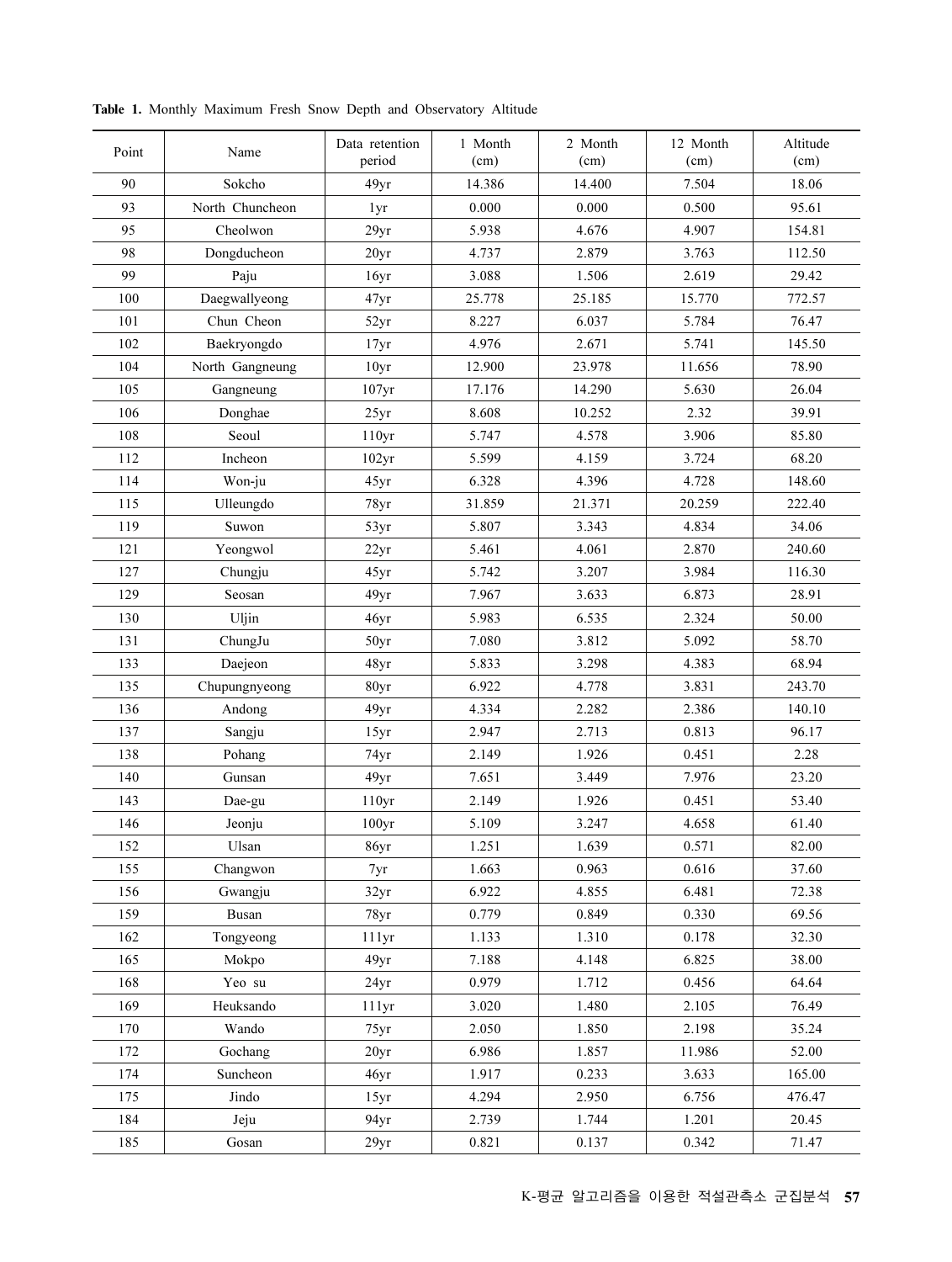| Point | Name            | Data retention<br>period | 1 Month<br>(cm) | 2 Month<br>(cm) | 12 Month<br>(cm) | Altitude<br>(cm) |
|-------|-----------------|--------------------------|-----------------|-----------------|------------------|------------------|
| 90    | Sokcho          | 49yr                     | 14.386          | 14.400          | 7.504            | 18.06            |
| 93    | North Chuncheon | 1yr                      | 0.000           | 0.000           | 0.500            | 95.61            |
| 95    | Cheolwon        | 29yr                     | 5.938           | 4.676           | 4.907            | 154.81           |
| 98    | Dongducheon     | 20yr                     | 4.737           | 2.879           | 3.763            | 112.50           |
| 99    | Paju            | 16yr                     | 3.088           | 1.506           | 2.619            | 29.42            |
| 100   | Daegwallyeong   | 47yr                     | 25.778          | 25.185          | 15.770           | 772.57           |
| 101   | Chun Cheon      | 52yr                     | 8.227           | 6.037           | 5.784            | 76.47            |
| 102   | Baekryongdo     | 17yr                     | 4.976           | 2.671           | 5.741            | 145.50           |
| 104   | North Gangneung | 10 <sub>yr</sub>         | 12.900          | 23.978          | 11.656           | 78.90            |
| 105   | Gangneung       | 107yr                    | 17.176          | 14.290          | 5.630            | 26.04            |
| 106   | Donghae         | 25yr                     | 8.608           | 10.252          | 2.32             | 39.91            |
| 108   | Seoul           | 110yr                    | 5.747           | 4.578           | 3.906            | 85.80            |
| 112   | Incheon         | 102yr                    | 5.599           | 4.159           | 3.724            | 68.20            |
| 114   | Won-ju          | 45yr                     | 6.328           | 4.396           | 4.728            | 148.60           |
| 115   | Ulleungdo       | 78yr                     | 31.859          | 21.371          | 20.259           | 222.40           |
| 119   | Suwon           | 53yr                     | 5.807           | 3.343           | 4.834            | 34.06            |
| 121   | Yeongwol        | 22yr                     | 5.461           | 4.061           | 2.870            | 240.60           |
| 127   | Chungju         | 45yr                     | 5.742           | 3.207           | 3.984            | 116.30           |
| 129   | Seosan          | 49yr                     | 7.967           | 3.633           | 6.873            | 28.91            |
| 130   | Uljin           | 46yr                     | 5.983           | 6.535           | 2.324            | 50.00            |
| 131   | ChungJu         | 50yr                     | 7.080           | 3.812           | 5.092            | 58.70            |
| 133   | Daejeon         | 48yr                     | 5.833           | 3.298           | 4.383            | 68.94            |
| 135   | Chupungnyeong   | 80yr                     | 6.922           | 4.778           | 3.831            | 243.70           |
| 136   | Andong          | 49yr                     | 4.334           | 2.282           | 2.386            | 140.10           |
| 137   | Sangju          | 15yr                     | 2.947           | 2.713           | 0.813            | 96.17            |
| 138   | Pohang          | 74yr                     | 2.149           | 1.926           | 0.451            | 2.28             |
| 140   | Gunsan          | 49yr                     | 7.651           | 3.449           | 7.976            | 23.20            |
| 143   | Dae-gu          | 110yr                    | 2.149           | 1.926           | 0.451            | 53.40            |
| 146   | Jeonju          | $100\rm yr$              | 5.109           | 3.247           | 4.658            | 61.40            |
| 152   | Ulsan           | 86yr                     | 1.251           | 1.639           | 0.571            | 82.00            |
| 155   | Changwon        | 7yr                      | 1.663           | 0.963           | 0.616            | 37.60            |
| 156   | Gwangju         | 32yr                     | 6.922           | 4.855           | 6.481            | 72.38            |
| 159   | Busan           | 78yr                     | 0.779           | 0.849           | 0.330            | 69.56            |
| 162   | Tongyeong       | 111yr                    | 1.133           | 1.310           | 0.178            | 32.30            |
| 165   | Mokpo           | 49yr                     | 7.188           | 4.148           | 6.825            | 38.00            |
| 168   | Yeo su          | 24yr                     | 0.979           | 1.712           | 0.456            | 64.64            |
| 169   | Heuksando       | 111yr                    | 3.020           | 1.480           | 2.105            | 76.49            |
| 170   | Wando           | 75yr                     | 2.050           | 1.850           | 2.198            | 35.24            |
| 172   | Gochang         | 20yr                     | 6.986           | 1.857           | 11.986           | 52.00            |
| 174   | Suncheon        | 46yr                     | 1.917           | 0.233           | 3.633            | 165.00           |
| 175   | Jindo           | 15yr                     | 4.294           | 2.950           | 6.756            | 476.47           |
| 184   | Jeju            | 94 <sub>yr</sub>         | 2.739           | 1.744           | 1.201            | 20.45            |
| 185   | Gosan           | 29yr                     | 0.821           | 0.137           | 0.342            | 71.47            |

Table 1. Monthly Maximum Fresh Snow Depth and Observatory Altitude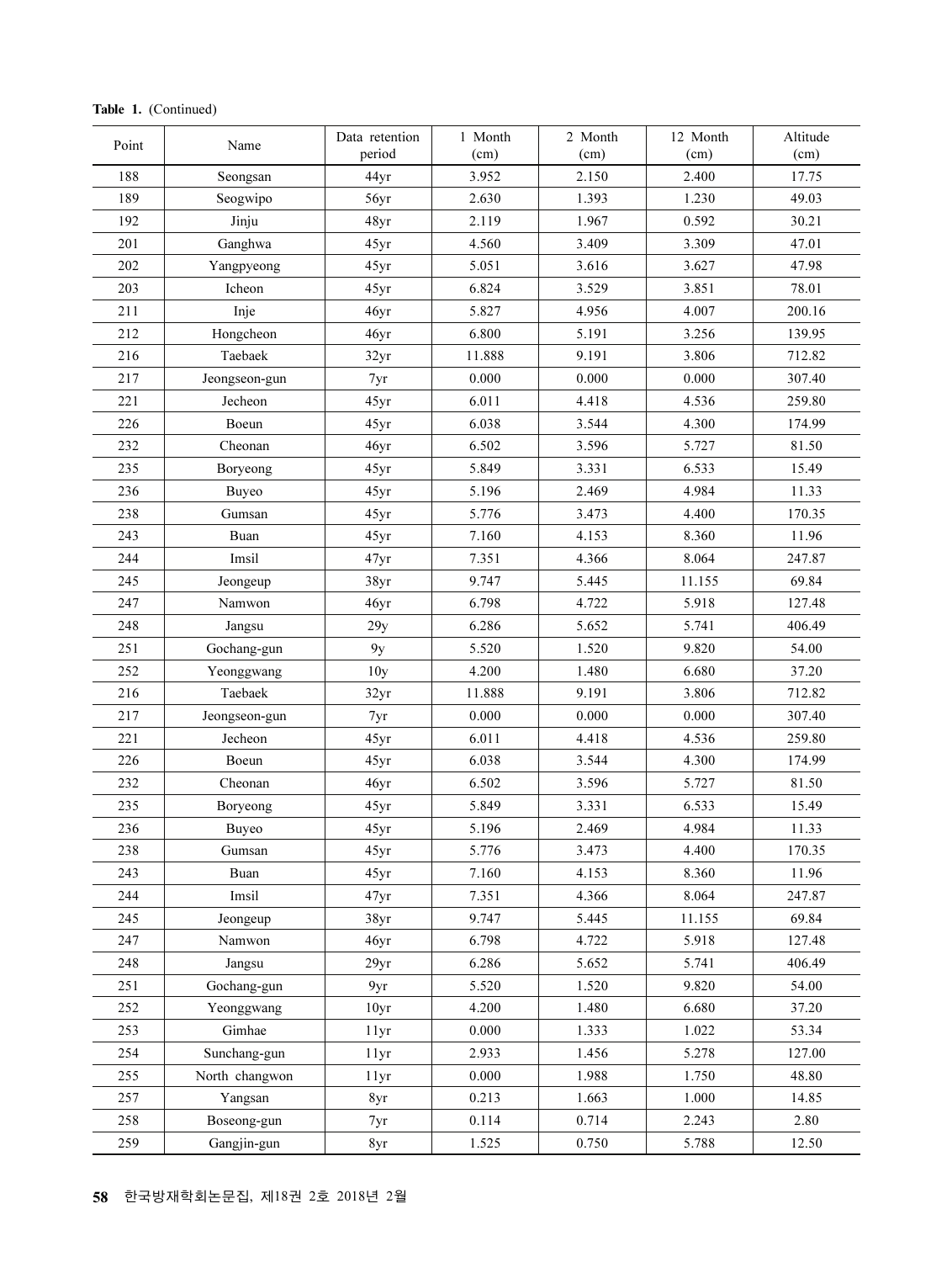| Point | Name          | Data retention<br>period | 1 Month<br>(cm) | 2 Month<br>(cm) | 12 Month<br>(cm) | Altitud<br>(cm) |
|-------|---------------|--------------------------|-----------------|-----------------|------------------|-----------------|
| 188   | Seongsan      | 44yr                     | 3.952           | 2.150           | 2.400            | 17.75           |
| 189   | Seogwipo      | 56yr                     | 2.630           | 1.393           | 1.230            | 49.03           |
| 192   | Jinju         | 48yr                     | 2.119           | 1.967           | 0.592            | 30.21           |
| 201   | Ganghwa       | 45yr                     | 4.560           | 3.409           | 3.309            | 47.01           |
| 202   | Yangpyeong    | 45yr                     | 5.051           | 3.616           | 3.627            | 47.98           |
| 203   | Icheon        | 45yr                     | 6.824           | 3.529           | 3.851            | 78.01           |
| 211   | Inje          | 46yr                     | 5.827           | 4.956           | 4.007            | 200.16          |
| 212   | Hongcheon     | 46yr                     | 6.800           | 5.191           | 3.256            | 139.95          |
| 216   | Taebaek       | 32yr                     | 11.888          | 9.191           | 3.806            | 712.82          |
| 217   | Jeongseon-gun | 7yr                      | 0.000           | 0.000           | 0.000            | 307.40          |
| 221   | Jecheon       | 45yr                     | 6.011           | 4.418           | 4.536            | 259.80          |
| 226   | Boeun         | 45yr                     | 6.038           | 3.544           | 4.300            | 174.99          |
| 232   | Cheonan       | 46yr                     | 6.502           | 3.596           | 5.727            | 81.50           |
| 235   | Boryeong      | 45yr                     | 5.849           | 3.331           | 6.533            | 15.49           |
| 236   | <b>Buyeo</b>  | 45yr                     | 5.196           | 2.469           | 4.984            | 11.33           |
| 238   | Gumsan        | 45yr                     | 5.776           | 3.473           | 4.400            | 170.35          |
| 243   | Buan          | 45yr                     | 7.160           | 4.153           | 8.360            | 11.96           |
| 244   | Imsil         | 47yr                     | 7.351           | 4.366           | 8.064            | 247.87          |
| 245   | Jeongeup      | 38yr                     | 9.747           | 5.445           | 11.155           | 69.84           |
| 247   | Namwon        | 46yr                     | 6.798           | 4.722           | 5.918            | 127.48          |
| 248   | Jangsu        | 29y                      | 6.286           | 5.652           | 5.741            | 406.49          |
| 251   | Gochang-gun   | 9y                       | 5.520           | 1.520           | 9.820            | 54.00           |
| 252   | Yeonggwang    | 10 <sub>y</sub>          | 4.200           | 1.480           | 6.680            | 37.20           |
| 216   | Taebaek       | 32yr                     | 11.888          | 9.191           | 3.806            | 712.82          |
| 217   | Jeongseon-gun | 7yr                      | 0.000           | 0.000           | 0.000            | 307.40          |
| 221   | Jecheon       | 45yr                     | 6.011           | 4.418           | 4.536            | 259.80          |
| 226   | Boeun         | 45yr                     | 6.038           | 3.544           | 4.300            | 174.99          |
| 232   | Cheonan       | 46yr                     | 6.502           | 3.596           | 5.727            | 81.50           |
| 235   | Boryeong      | 45yr                     | 5.849           | 3.331           | 6.533            | 15.49           |

| ∠∪∠ | r angpycong    | ⊣ூட              | J.VJ 1 | <b>J.VIV</b> | 3.021  | <b>TI.JU</b> |
|-----|----------------|------------------|--------|--------------|--------|--------------|
| 203 | Icheon         | 45yr             | 6.824  | 3.529        | 3.851  | 78.01        |
| 211 | Inje           | 46yr             | 5.827  | 4.956        | 4.007  | 200.16       |
| 212 | Hongcheon      | 46yr             | 6.800  | 5.191        | 3.256  | 139.95       |
| 216 | Taebaek        | 32yr             | 11.888 | 9.191        | 3.806  | 712.82       |
| 217 | Jeongseon-gun  | 7yr              | 0.000  | 0.000        | 0.000  | 307.40       |
| 221 | Jecheon        | 45yr             | 6.011  | 4.418        | 4.536  | 259.80       |
| 226 | Boeun          | 45yr             | 6.038  | 3.544        | 4.300  | 174.99       |
| 232 | Cheonan        | 46yr             | 6.502  | 3.596        | 5.727  | 81.50        |
| 235 | Boryeong       | 45yr             | 5.849  | 3.331        | 6.533  | 15.49        |
| 236 | <b>Buyeo</b>   | 45yr             | 5.196  | 2.469        | 4.984  | 11.33        |
| 238 | Gumsan         | 45yr             | 5.776  | 3.473        | 4.400  | 170.35       |
| 243 | Buan           | 45yr             | 7.160  | 4.153        | 8.360  | 11.96        |
| 244 | Imsil          | 47yr             | 7.351  | 4.366        | 8.064  | 247.87       |
| 245 | Jeongeup       | 38yr             | 9.747  | 5.445        | 11.155 | 69.84        |
| 247 | Namwon         | 46yr             | 6.798  | 4.722        | 5.918  | 127.48       |
| 248 | Jangsu         | 29y              | 6.286  | 5.652        | 5.741  | 406.49       |
| 251 | Gochang-gun    | 9y               | 5.520  | 1.520        | 9.820  | 54.00        |
| 252 | Yeonggwang     | 10 <sub>y</sub>  | 4.200  | 1.480        | 6.680  | 37.20        |
| 216 | Taebaek        | 32yr             | 11.888 | 9.191        | 3.806  | 712.82       |
| 217 | Jeongseon-gun  | 7yr              | 0.000  | 0.000        | 0.000  | 307.40       |
| 221 | Jecheon        | 45yr             | 6.011  | 4.418        | 4.536  | 259.80       |
| 226 | Boeun          | 45yr             | 6.038  | 3.544        | 4.300  | 174.99       |
| 232 | Cheonan        | 46yr             | 6.502  | 3.596        | 5.727  | 81.50        |
| 235 | Boryeong       | 45yr             | 5.849  | 3.331        | 6.533  | 15.49        |
| 236 | <b>Buyeo</b>   | 45yr             | 5.196  | 2.469        | 4.984  | 11.33        |
| 238 | Gumsan         | 45yr             | 5.776  | 3.473        | 4.400  | 170.35       |
| 243 | Buan           | 45yr             | 7.160  | 4.153        | 8.360  | 11.96        |
| 244 | Imsil          | 47yr             | 7.351  | 4.366        | 8.064  | 247.87       |
| 245 | Jeongeup       | 38yr             | 9.747  | 5.445        | 11.155 | 69.84        |
| 247 | Namwon         | 46yr             | 6.798  | 4.722        | 5.918  | 127.48       |
| 248 | Jangsu         | 29yr             | 6.286  | 5.652        | 5.741  | 406.49       |
| 251 | Gochang-gun    | 9yr              | 5.520  | 1.520        | 9.820  | 54.00        |
| 252 | Yeonggwang     | 10 <sub>yr</sub> | 4.200  | 1.480        | 6.680  | 37.20        |
| 253 | Gimhae         | 11yr             | 0.000  | 1.333        | 1.022  | 53.34        |
| 254 | Sunchang-gun   | 11yr             | 2.933  | 1.456        | 5.278  | 127.00       |
| 255 | North changwon | 11yr             | 0.000  | 1.988        | 1.750  | 48.80        |
| 257 | Yangsan        | 8yr              | 0.213  | 1.663        | 1.000  | 14.85        |
| 258 | Boseong-gun    | 7yr              | 0.114  | 0.714        | 2.243  | 2.80         |
| 259 | Gangjin-gun    | 8yr              | 1.525  | 0.750        | 5.788  | 12.50        |
|     |                |                  |        |              |        |              |

Altitude (cm)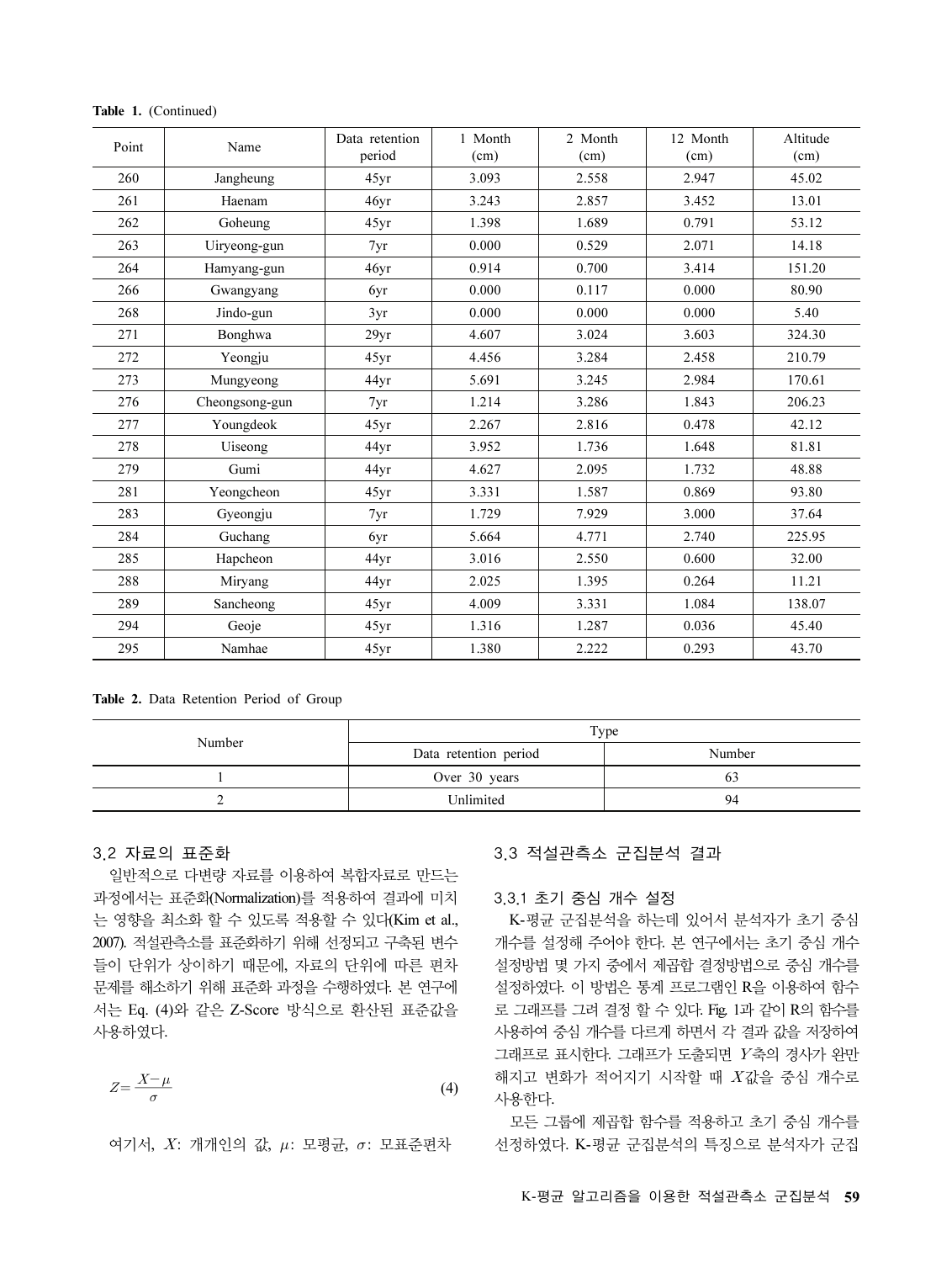| Table 1. (Continued)                                               |                                                                                                                                                       |                |                            |                                                                            |                                                                                        |          |  |
|--------------------------------------------------------------------|-------------------------------------------------------------------------------------------------------------------------------------------------------|----------------|----------------------------|----------------------------------------------------------------------------|----------------------------------------------------------------------------------------|----------|--|
| Point                                                              | Name                                                                                                                                                  | Data retention | 1 Month                    | 2 Month                                                                    | 12 Month                                                                               | Altitude |  |
|                                                                    |                                                                                                                                                       | period         | (cm)                       | (cm)                                                                       | (cm)                                                                                   | (cm)     |  |
| 260                                                                | Jangheung                                                                                                                                             | 45yr           | 3.093                      | 2.558                                                                      | 2.947                                                                                  | 45.02    |  |
| 261                                                                | Haenam                                                                                                                                                | 46yr           | 3.243                      | 2.857                                                                      | 3.452                                                                                  | 13.01    |  |
| 262                                                                | Goheung                                                                                                                                               | 45yr           | 1.398                      | 1.689                                                                      | 0.791                                                                                  | 53.12    |  |
| 263                                                                | Uiryeong-gun                                                                                                                                          | 7yr            | 0.000                      | 0.529                                                                      | 2.071                                                                                  | 14.18    |  |
| 264                                                                | Hamyang-gun                                                                                                                                           | 46yr           | 0.914                      | 0.700                                                                      | 3.414                                                                                  | 151.20   |  |
| 266                                                                | Gwangyang                                                                                                                                             | 6yr            | 0.000                      | 0.117                                                                      | 0.000                                                                                  | 80.90    |  |
| 268                                                                | Jindo-gun                                                                                                                                             | 3yr            | 0.000                      | 0.000                                                                      | 0.000                                                                                  | 5.40     |  |
| 271                                                                | Bonghwa                                                                                                                                               | 29yr           | 4.607                      | 3.024                                                                      | 3.603                                                                                  | 324.30   |  |
| 272                                                                | Yeongju                                                                                                                                               | 45yr           | 4.456                      | 3.284                                                                      | 2.458                                                                                  | 210.79   |  |
| 273                                                                | Mungyeong                                                                                                                                             | 44yr           | 5.691                      | 3.245                                                                      | 2.984                                                                                  | 170.61   |  |
| 276                                                                | Cheongsong-gun                                                                                                                                        | 7yr            | 1.214                      | 3.286                                                                      | 1.843                                                                                  | 206.23   |  |
| 277                                                                | Youngdeok                                                                                                                                             | 45yr           | 2.267                      | 2.816                                                                      | 0.478                                                                                  | 42.12    |  |
| 278                                                                | Uiseong                                                                                                                                               | 44yr           | 3.952                      | 1.736                                                                      | 1.648                                                                                  | 81.81    |  |
| 279                                                                | Gumi                                                                                                                                                  | 44yr           | 4.627                      | 2.095                                                                      | 1.732                                                                                  | 48.88    |  |
| 281                                                                | Yeongcheon                                                                                                                                            | 45yr           | 3.331                      | 1.587                                                                      | 0.869                                                                                  | 93.80    |  |
| 283                                                                | Gyeongju                                                                                                                                              | 7yr            | 1.729                      | 7.929                                                                      | 3.000                                                                                  | 37.64    |  |
| 284                                                                | Guchang                                                                                                                                               | 6yr            | 5.664                      | 4.771                                                                      | 2.740                                                                                  | 225.95   |  |
| 285                                                                | Hapcheon                                                                                                                                              | 44yr           | 3.016                      | 2.550                                                                      | 0.600                                                                                  | 32.00    |  |
| 288                                                                | Miryang                                                                                                                                               | 44yr           | 2.025                      | 1.395                                                                      | 0.264                                                                                  | 11.21    |  |
| 289                                                                | Sancheong                                                                                                                                             | 45yr           | 4.009                      | 3.331                                                                      | 1.084                                                                                  | 138.07   |  |
| 294                                                                | Geoje                                                                                                                                                 | 45yr           | 1.316                      | 1.287                                                                      | 0.036                                                                                  | 45.40    |  |
| 295                                                                | Namhae                                                                                                                                                | 45yr           | 1.380                      | 2.222                                                                      | 0.293                                                                                  | 43.70    |  |
|                                                                    | Table 2. Data Retention Period of Group                                                                                                               |                |                            |                                                                            |                                                                                        |          |  |
|                                                                    | Number                                                                                                                                                |                | Type                       |                                                                            |                                                                                        |          |  |
|                                                                    |                                                                                                                                                       |                | Data retention period      |                                                                            | Number                                                                                 |          |  |
| $\mathbf{1}$<br>2                                                  |                                                                                                                                                       |                | Over 30 years<br>Unlimited |                                                                            | 63<br>94                                                                               |          |  |
| 3.2 자료의 표준화                                                        | 일반적으로 다변량 자료를 이용하여 복합자료로 만드는<br>과정에서는 표준회(Normalization)를 적용하여 결과에 미치<br>는 영향을 최소화 할 수 있도록 적용할 수 있다(Kim et al.,<br>2007). 적설관측소를 표준화하기 위해 선정되고 구축된 변수 |                |                            | 3.3.1 초기 중심 개수 설정                                                          | 3.3 적설관측소 군집분석 결과<br>K-평균 군집분석을 하는데 있어서 분석자가 초기 중심<br>개수를 설정해 주어야 한다. 본 연구에서는 초기 중심 개수 |          |  |
| 들이 단위가 상이하기 때문에, 자료의 단위에 따른 편차<br>문제를 해소하기 위해 표준화 과정을 수행하였다. 본 연구에 |                                                                                                                                                       |                |                            | 설정방법 몇 가지 중에서 제곱합 결정방법으로 중심 개수를<br>설정하였다. 이 방법은 통계 프로그램인 R을 이용하여 함수        |                                                                                        |          |  |
| 서는 Eq. (4)와 같은 Z-Score 방식으로 환산된 표준값을<br>사용하였다.                     |                                                                                                                                                       |                |                            | 로 그래프를 그려 결정 할 수 있다. Fig. 1과 같이 R의 함수를<br>사용하여 중심 개수를 다르게 하면서 각 결과 값을 저장하여 |                                                                                        |          |  |
| $Z = \frac{X-\mu}{\mu}$                                            |                                                                                                                                                       |                | (4)                        | 그래프로 표시한다. 그래프가 도출되면 Y축의 경사가 완만<br>해지고 변화가 적어지기 시작할 때 X값을 중심 개수로           |                                                                                        |          |  |

Table 1. (Continued)

Table 2. Data Retention Period of Group

| Number | Type                  |        |  |  |  |
|--------|-----------------------|--------|--|--|--|
|        | Data retention period | Number |  |  |  |
|        | Over 30 years         | 03     |  |  |  |
|        | Unlimited             | 94     |  |  |  |

#### 3.2 자료의 표준화

$$
Z = \frac{X - \mu}{\sigma} \tag{4}
$$

여기서,  $X$ : 개개인의 값,  $\mu$ : 모평균,  $\sigma$ : 모표준편차

### 3.3 적설관측소 군집분석 결과

#### 3.3.1 초기 중심 개수 설정

K-평균 군집분석을 하는데 있어서 분석자가 초기 중심 개수를 설정해 주어야 한다. 본 연구에서는 초기 중심 개수 설정방법 몇 가지 중에서 제곱합 결정방법으로 중심 개수를 설정하였다. 이 방법은 통계 프로그램인 R을 이용하여 함수 로 그래프를 그려 결정 할 수 있다. Fig. 1과 같이 R의 함수를 사용하여 중심 개수를 다르게 하면서 각 결과 값을 저장하여 그래프로 표시한다. 그래프가 도출되면 Y축의 경사가 완만 해지고 변화가 적어지기 시작할 때 X값을 중심 개수로 사용한다.

모든 그룹에 제곱합 함수를 적용하고 초기 중심 개수를 선정하였다. K-평균 군집분석의 특징으로 분석자가 군집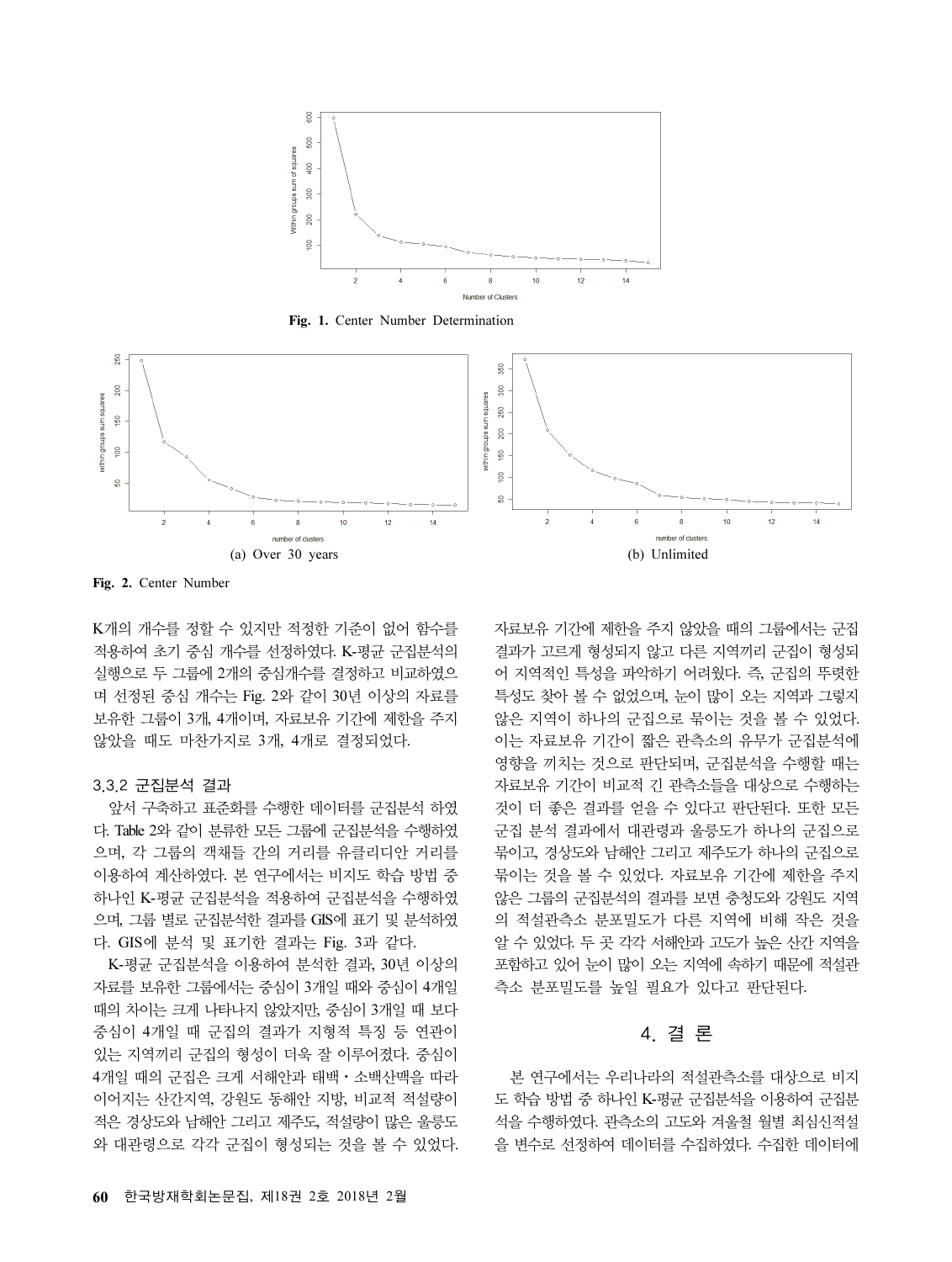

Fig. 1. Center Number Determination



Fig. 2. Center Number

K개의 개수를 정할 수 있지만 적정한 기준이 없어 함수를 적용하여 초기 중심 개수를 선정하였다. K-평균 군집분석의 실행으로 두 그룹에 2개의 중심개수를 결정하고 비교하였으 며 선정된 중심 개수는 Fig. 2와 같이 30년 이상의 자료를 보유한 그룹이 3개, 4개이며, 자료보유 기간에 제한을 주지 않았을 때도 마찬가지로 3개, 4개로 결정되었다.

#### 3.3.2 군집분석 결과

앞서 구축하고 표준화를 수행한 데이터를 군집분석 하였 다. Table 2와 같이 분류한 모든 그룹에 군집분석을 수행하였 으며, 각 그룹의 객채들 간의 거리를 유클리디안 거리를 이용하여 계산하였다. 본 연구에서는 비지도 학습 방법 중 하나인 K-평균 군집분석을 적용하여 군집분석을 수행하였 으며, 그룹 별로 군집분석한 결과를 GIS에 표기 및 분석하였 다. GIS에 분석 및 표기한 결과는 Fig. 3과 같다.

K-평균 군집분석을 이용하여 분석한 결과, 30년 이상의 자료를 보유한 그룹에서는 중심이 3개일 때와 중심이 4개일 때의 차이는 크게 나타나지 않았지만, 중심이 3개일 때 보다 중심이 4개일 때 군집의 결과가 지형적 특징 등 연관이 있는 지역끼리 군집의 형성이 더욱 잘 이루어졌다. 중심이 <sup>4</sup>개일 때의 군집은 크게 서해안과 태백⋅소백산맥을 따라 이어지는 산간지역, 강원도 동해안 지방, 비교적 적설량이 적은 경상도와 남해안 그리고 제주도, 적설량이 많은 울릉도 와 대관령으로 각각 군집이 형성되는 것을 볼 수 있었다.

자료보유 기간에 제한을 주지 않았을 때의 그룹에서는 군집 결과가 고르게 형성되지 않고 다른 지역끼리 군집이 형성되 어 지역적인 특성을 파악하기 어려웠다. 즉, 군집의 뚜렷한 특성도 찾아 볼 수 없었으며, 눈이 많이 오는 지역과 그렇지 않은 지역이 하나의 군집으로 묶이는 것을 볼 수 있었다. 이는 자료보유 기간이 짧은 관측소의 유무가 군집분석에 영향을 끼치는 것으로 판단되며, 군집분석을 수행할 때는 자료보유 기간이 비교적 긴 관측소들을 대상으로 수행하는 것이 더 좋은 결과를 얻을 수 있다고 판단된다. 또한 모든 군집 분석 결과에서 대관령과 울릉도가 하나의 군집으로 묶이고, 경상도와 남해안 그리고 제주도가 하나의 군집으로 묶이는 것을 볼 수 있었다. 자료보유 기간에 제한을 주지 않은 그룹의 군집분석의 결과를 보면 충청도와 강원도 지역 의 적설관측소 분포밀도가 다른 지역에 비해 작은 것을 알 수 있었다. 두 곳 각각 서해안과 고도가 높은 산간 지역을 포함하고 있어 눈이 많이 오는 지역에 속하기 때문에 적설관 측소 분포밀도를 높일 필요가 있다고 판단된다.

### 4. 결 론

본 연구에서는 우리나라의 적설관측소를 대상으로 비지 도 학습 방법 중 하나인 K-평균 군집분석을 이용하여 군집분 석을 수행하였다. 관측소의 고도와 겨울철 월별 최심신적설 을 변수로 선정하여 데이터를 수집하였다. 수집한 데이터에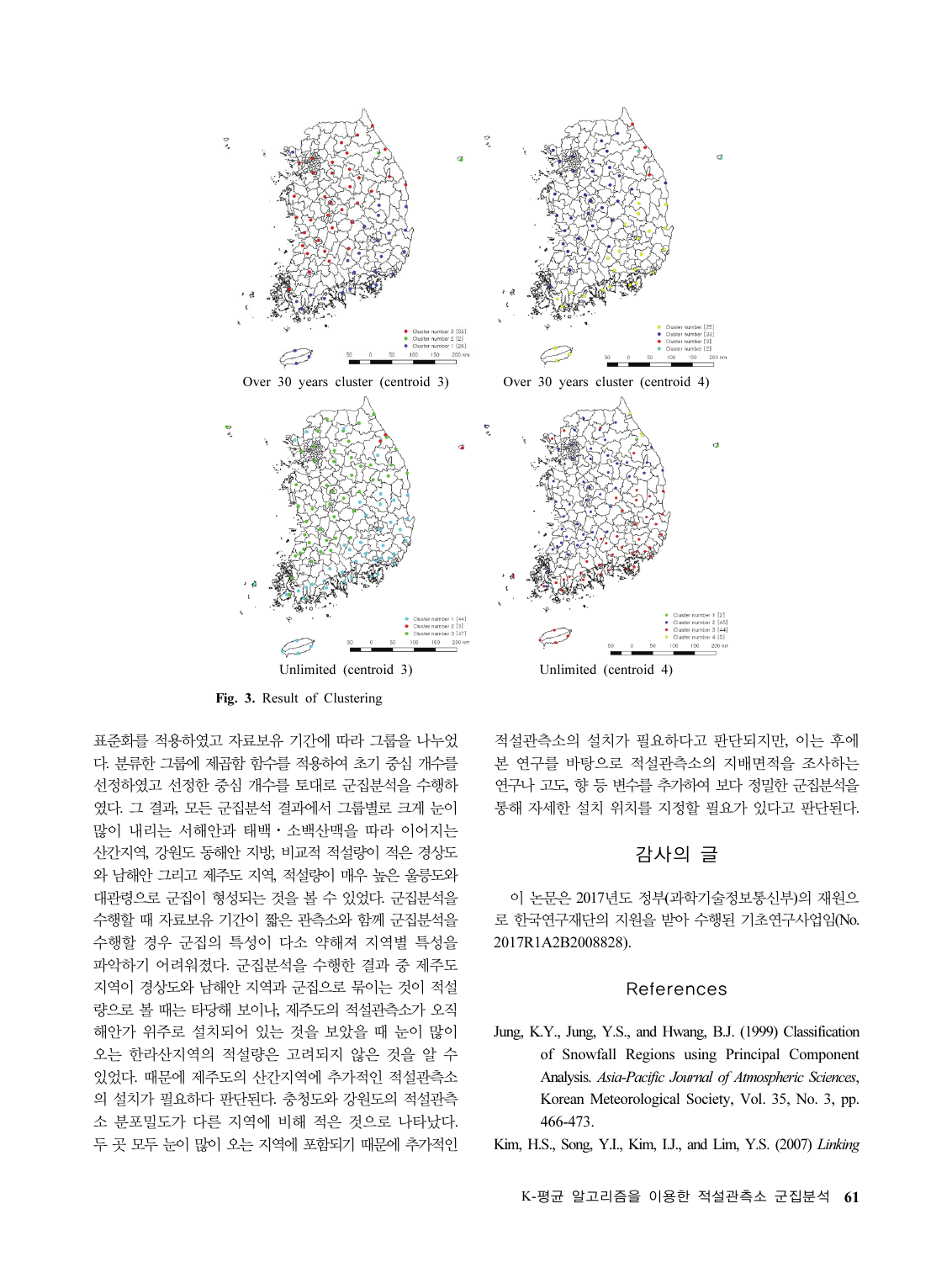

Fig. 3. Result of Clustering

표준화를 적용하였고 자료보유 기간에 따라 그룹을 나누었 다. 분류한 그룹에 제곱함 함수를 적용하여 초기 중심 개수를 선정하였고 선정한 중심 개수를 토대로 군집분석을 수행하 였다. 그 결과, 모든 군집분석 결과에서 그룹별로 크게 눈이 <sup>많</sup>이 내리는 서해안과 태백⋅소백산맥을 따라 이어지는 산간지역, 강원도 동해안 지방, 비교적 적설량이 적은 경상도 와 남해안 그리고 제주도 지역, 적설량이 매우 높은 울릉도와 대관령으로 군집이 형성되는 것을 볼 수 있었다. 군집분석을 수행할 때 자료보유 기간이 짧은 관측소와 함께 군집분석을 수행할 경우 군집의 특성이 다소 약해져 지역별 특성을 파악하기 어려워졌다. 군집분석을 수행한 결과 중 제주도 지역이 경상도와 남해안 지역과 군집으로 묶이는 것이 적설 량으로 볼 때는 타당해 보이나, 제주도의 적설관측소가 오직 해안가 위주로 설치되어 있는 것을 보았을 때 눈이 많이 오는 한라산지역의 적설량은 고려되지 않은 것을 알 수 있었다. 때문에 제주도의 산간지역에 추가적인 적설관측소 의 설치가 필요하다 판단된다. 충청도와 강원도의 적설관측 소 분포밀도가 다른 지역에 비해 적은 것으로 나타났다. 두 곳 모두 눈이 많이 오는 지역에 포함되기 때문에 추가적인

적설관측소의 설치가 필요하다고 판단되지만, 이는 후에 본 연구를 바탕으로 적설관측소의 지배면적을 조사하는 연구나 고도, 향 등 변수를 추가하여 보다 정밀한 군집분석을 통해 자세한 설치 위치를 지정할 필요가 있다고 판단된다.

## 감사의 글

이 논문은 2017년도 정부(과학기술정보통신부)의 재원으 로 한국연구재단의 지원을 받아 수행된 기초연구사업임(No. 2017R1A2B2008828).

### References

Jung, K.Y., Jung, Y.S., and Hwang, B.J. (1999) Classification of Snowfall Regions using Principal Component Analysis. Asia-Pacific Journal of Atmospheric Sciences, Korean Meteorological Society, Vol. 35, No. 3, pp. 466-473.

Kim, H.S., Song, Y.I., Kim, I.J., and Lim, Y.S. (2007) Linking